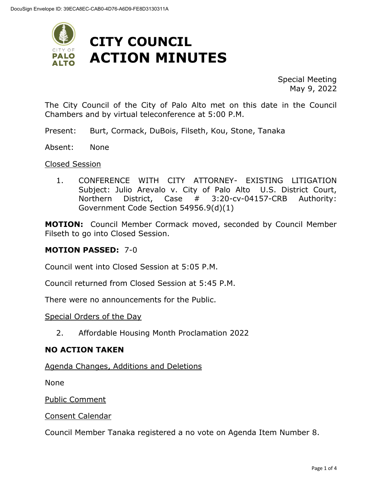

Special Meeting May 9, 2022

The City Council of the City of Palo Alto met on this date in the Council Chambers and by virtual teleconference at 5:00 P.M.

- Present: Burt, Cormack, DuBois, Filseth, Kou, Stone, Tanaka
- Absent: None

#### Closed Session

1. CONFERENCE WITH CITY ATTORNEY- EXISTING LITIGATION Subject: Julio Arevalo v. City of Palo Alto U.S. District Court, Northern District, Case # 3:20-cv-04157-CRB Authority: Government Code Section 54956.9(d)(1)

**MOTION:** Council Member Cormack moved, seconded by Council Member Filseth to go into Closed Session.

#### **MOTION PASSED:** 7-0

Council went into Closed Session at 5:05 P.M.

Council returned from Closed Session at 5:45 P.M.

There were no announcements for the Public.

#### Special Orders of the Day

2. Affordable Housing Month Proclamation 2022

#### **NO ACTION TAKEN**

Agenda Changes, Additions and Deletions

None

Public Comment

#### Consent Calendar

Council Member Tanaka registered a no vote on Agenda Item Number 8.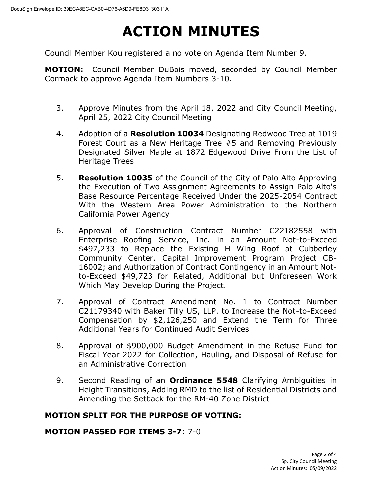# **ACTION MINUTES**

Council Member Kou registered a no vote on Agenda Item Number 9.

**MOTION:** Council Member DuBois moved, seconded by Council Member Cormack to approve Agenda Item Numbers 3-10.

- 3. Approve Minutes from the April 18, 2022 and City Council Meeting, April 25, 2022 City Council Meeting
- 4. Adoption of a **Resolution 10034** Designating Redwood Tree at 1019 Forest Court as a New Heritage Tree #5 and Removing Previously Designated Silver Maple at 1872 Edgewood Drive From the List of Heritage Trees
- 5. **Resolution 10035** of the Council of the City of Palo Alto Approving the Execution of Two Assignment Agreements to Assign Palo Alto's Base Resource Percentage Received Under the 2025-2054 Contract With the Western Area Power Administration to the Northern California Power Agency
- 6. Approval of Construction Contract Number C22182558 with Enterprise Roofing Service, Inc. in an Amount Not-to-Exceed \$497,233 to Replace the Existing H Wing Roof at Cubberley Community Center, Capital Improvement Program Project CB-16002; and Authorization of Contract Contingency in an Amount Notto-Exceed \$49,723 for Related, Additional but Unforeseen Work Which May Develop During the Project.
- 7. Approval of Contract Amendment No. 1 to Contract Number C21179340 with Baker Tilly US, LLP. to Increase the Not-to-Exceed Compensation by \$2,126,250 and Extend the Term for Three Additional Years for Continued Audit Services
- 8. Approval of \$900,000 Budget Amendment in the Refuse Fund for Fiscal Year 2022 for Collection, Hauling, and Disposal of Refuse for an Administrative Correction
- 9. Second Reading of an **Ordinance 5548** Clarifying Ambiguities in Height Transitions, Adding RMD to the list of Residential Districts and Amending the Setback for the RM-40 Zone District

#### **MOTION SPLIT FOR THE PURPOSE OF VOTING:**

#### **MOTION PASSED FOR ITEMS 3-7**: 7-0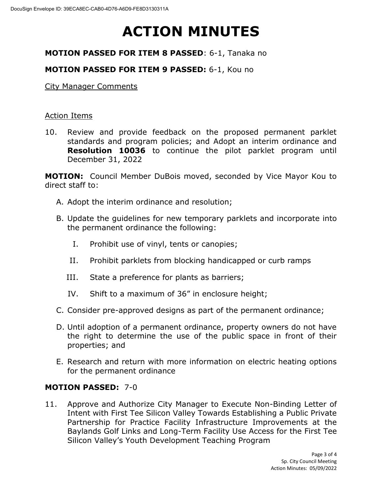# **ACTION MINUTES**

## **MOTION PASSED FOR ITEM 8 PASSED**: 6-1, Tanaka no

## **MOTION PASSED FOR ITEM 9 PASSED:** 6-1, Kou no

City Manager Comments

#### Action Items

10. Review and provide feedback on the proposed permanent parklet standards and program policies; and Adopt an interim ordinance and **Resolution 10036** to continue the pilot parklet program until December 31, 2022

**MOTION:** Council Member DuBois moved, seconded by Vice Mayor Kou to direct staff to:

- A. Adopt the interim ordinance and resolution;
- B. Update the guidelines for new temporary parklets and incorporate into the permanent ordinance the following:
	- I. Prohibit use of vinyl, tents or canopies;
	- II. Prohibit parklets from blocking handicapped or curb ramps
	- III. State a preference for plants as barriers;
	- IV. Shift to a maximum of 36" in enclosure height;
- C. Consider pre-approved designs as part of the permanent ordinance;
- D. Until adoption of a permanent ordinance, property owners do not have the right to determine the use of the public space in front of their properties; and
- E. Research and return with more information on electric heating options for the permanent ordinance

#### **MOTION PASSED:** 7-0

11. Approve and Authorize City Manager to Execute Non-Binding Letter of Intent with First Tee Silicon Valley Towards Establishing a Public Private Partnership for Practice Facility Infrastructure Improvements at the Baylands Golf Links and Long-Term Facility Use Access for the First Tee Silicon Valley's Youth Development Teaching Program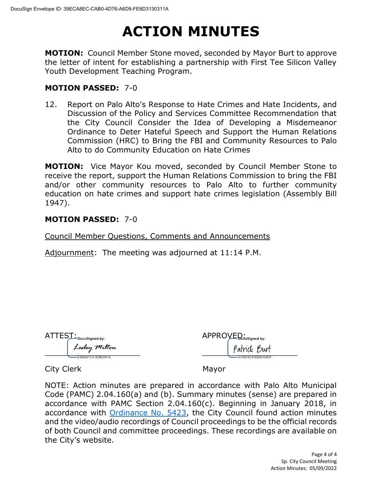# **ACTION MINUTES**

**MOTION:** Council Member Stone moved, seconded by Mayor Burt to approve the letter of intent for establishing a partnership with First Tee Silicon Valley Youth Development Teaching Program.

#### **MOTION PASSED:** 7-0

12. Report on Palo Alto's Response to Hate Crimes and Hate Incidents, and Discussion of the Policy and Services Committee Recommendation that the City Council Consider the Idea of Developing a Misdemeanor Ordinance to Deter Hateful Speech and Support the Human Relations Commission (HRC) to Bring the FBI and Community Resources to Palo Alto to do Community Education on Hate Crimes

**MOTION:** Vice Mayor Kou moved, seconded by Council Member Stone to receive the report, support the Human Relations Commission to bring the FBI and/or other community resources to Palo Alto to further community education on hate crimes and support hate crimes legislation (Assembly Bill 1947).

#### **MOTION PASSED:** 7-0

Council Member Questions, Comments and Announcements

Adjournment: The meeting was adjourned at 11:14 P.M.

| <b>ATTEST</b><br>— DocuSigned by: | APPROVED <sub>cus</sub> |
|-----------------------------------|-------------------------|
| Lesley Milton                     | 'atni                   |
| F56491CF3DR34FA                   |                         |

| $\textsf{ATTES}\_\_\textsf{DocuSigned by:}$ | ${\sf APPROVEQ}_{\sf cusigned\;by:}$ |
|---------------------------------------------|--------------------------------------|
| Lesley Milton                               | Patrick Burt                         |
| F56491CF3DB34FA                             | -FD9F9CFB89F64FF =                   |

City Clerk Mayor

NOTE: Action minutes are prepared in accordance with Palo Alto Municipal Code (PAMC) 2.04.160(a) and (b). Summary minutes (sense) are prepared in accordance with PAMC Section 2.04.160(c). Beginning in January 2018, in accordance with [Ordinance No. 5423,](https://www.cityofpaloalto.org/files/assets/public/city-clerk/ordinances/ordinances-1909-to-present/ordinances-by-number/ord-5423.pdf) the City Council found action minutes and the video/audio recordings of Council proceedings to be the official records of both Council and committee proceedings. These recordings are available on the City's website.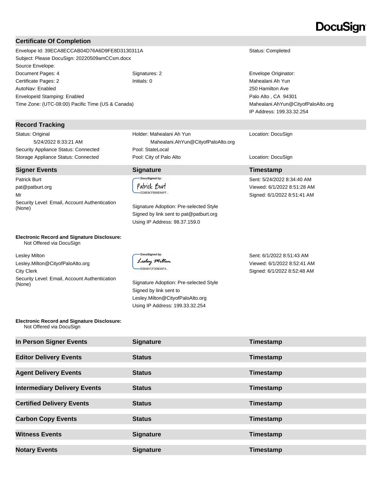## DocuSian

#### **Certificate Of Completion**

Envelope Id: 39ECA8ECCAB04D76A6D9FE8D3130311A Status: Completed Subject: Please DocuSign: 20220509amCCsm.docx Source Envelope: Document Pages: 4 Signatures: 2 Envelope Originator: Certificate Pages: 2 Initials: 0 Mahealani Ah Yun AutoNav: Enabled EnvelopeId Stamping: Enabled Time Zone: (UTC-08:00) Pacific Time (US & Canada)

#### **Record Tracking**

Status: Original 5/24/2022 8:33:21 AM Security Appliance Status: Connected Pool: StateLocal

Patrick Burt pat@patburt.org Mr Security Level: Email, Account Authentication (None) Signature Adoption: Pre-selected Style

### Holder: Mahealani Ah Yun Mahealani.AhYun@CityofPaloAlto.org Storage Appliance Status: Connected **Pool: City of Palo Alto** Location: DocuSign Location: DocuSign

#### .<br>DocuSigned by: Patrick Burt ED9E9CFB89E64FF...

Signed by link sent to pat@patburt.org Using IP Address: 98.37.159.0

250 Hamilton Ave Palo Alto , CA 94301 Mahealani.AhYun@CityofPaloAlto.org IP Address: 199.33.32.254

#### Location: DocuSign

#### **Signer Events Signature Timestamp**

Sent: 5/24/2022 8:34:40 AM Viewed: 6/1/2022 8:51:28 AM Signed: 6/1/2022 8:51:41 AM

**Electronic Record and Signature Disclosure:**  Not Offered via DocuSign

Lesley Milton Lesley.Milton@CityofPaloAlto.org City Clerk Security Level: Email, Account Authentication Signature Adoption: Pre-selected Style (None)

**DocuSianed by:** Lesley Milton E56491CF3DB34FA...

Signed by link sent to Lesley.Milton@CityofPaloAlto.org Using IP Address: 199.33.32.254

Sent: 6/1/2022 8:51:43 AM Viewed: 6/1/2022 8:52:41 AM Signed: 6/1/2022 8:52:48 AM

#### **Electronic Record and Signature Disclosure:**  Not Offered via DocuSign

| In Person Signer Events             | <b>Signature</b> | Timestamp |
|-------------------------------------|------------------|-----------|
| <b>Editor Delivery Events</b>       | <b>Status</b>    | Timestamp |
| <b>Agent Delivery Events</b>        | <b>Status</b>    | Timestamp |
| <b>Intermediary Delivery Events</b> | <b>Status</b>    | Timestamp |
| <b>Certified Delivery Events</b>    | <b>Status</b>    | Timestamp |
| <b>Carbon Copy Events</b>           | <b>Status</b>    | Timestamp |
| <b>Witness Events</b>               | <b>Signature</b> | Timestamp |
| <b>Notary Events</b>                | <b>Signature</b> | Timestamp |